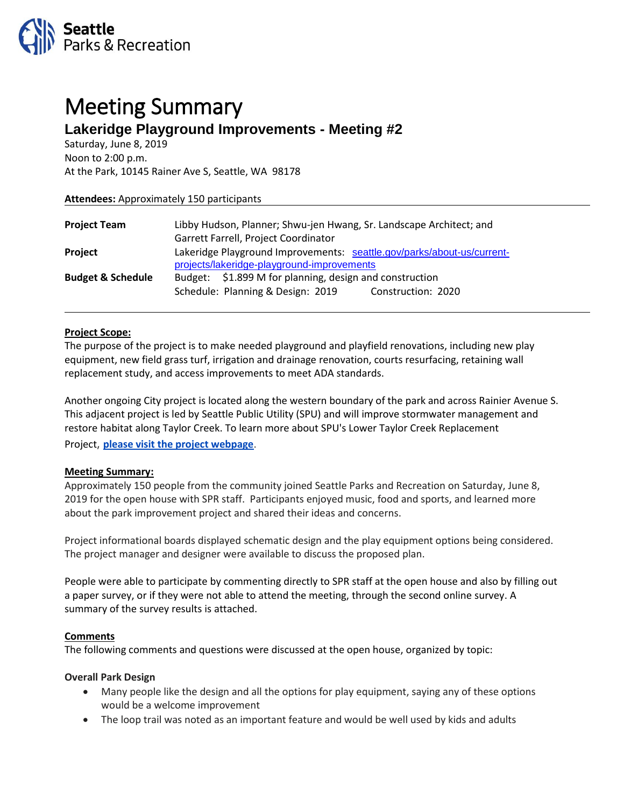

# Meeting Summary **Lakeridge Playground Improvements - Meeting #2**

Saturday, June 8, 2019 Noon to 2:00 p.m. At the Park, 10145 Rainer Ave S, Seattle, WA 98178

| <b>Attendees:</b> Approximately 150 participants |                                                                        |
|--------------------------------------------------|------------------------------------------------------------------------|
|                                                  |                                                                        |
| <b>Project Team</b>                              | Libby Hudson, Planner; Shwu-jen Hwang, Sr. Landscape Architect; and    |
|                                                  | Garrett Farrell, Project Coordinator                                   |
| <b>Project</b>                                   | Lakeridge Playground Improvements: seattle.gov/parks/about-us/current- |
|                                                  | projects/lakeridge-playground-improvements                             |
| <b>Budget &amp; Schedule</b>                     | Budget: \$1.899 M for planning, design and construction                |
|                                                  | Schedule: Planning & Design: 2019<br>Construction: 2020                |
|                                                  |                                                                        |

#### **Project Scope:**

The purpose of the project is to make needed playground and playfield renovations, including new play equipment, new field grass turf, irrigation and drainage renovation, courts resurfacing, retaining wall replacement study, and access improvements to meet ADA standards.

Another ongoing City project is located along the western boundary of the park and across Rainier Avenue S. This adjacent project is led by Seattle Public Utility (SPU) and will improve stormwater management and restore habitat along Taylor Creek. To learn more about SPU's Lower Taylor Creek Replacement Project, **[please visit the project webpage](http://www.seattle.gov/util/environmentconservation/projects/taylorcreek/)**.

## **Meeting Summary:**

Approximately 150 people from the community joined Seattle Parks and Recreation on Saturday, June 8, 2019 for the open house with SPR staff. Participants enjoyed music, food and sports, and learned more about the park improvement project and shared their ideas and concerns.

Project informational boards displayed schematic design and the play equipment options being considered. The project manager and designer were available to discuss the proposed plan.

People were able to participate by commenting directly to SPR staff at the open house and also by filling out a paper survey, or if they were not able to attend the meeting, through the second online survey. A summary of the survey results is attached.

#### **Comments**

The following comments and questions were discussed at the open house, organized by topic:

#### **Overall Park Design**

- Many people like the design and all the options for play equipment, saying any of these options would be a welcome improvement
- The loop trail was noted as an important feature and would be well used by kids and adults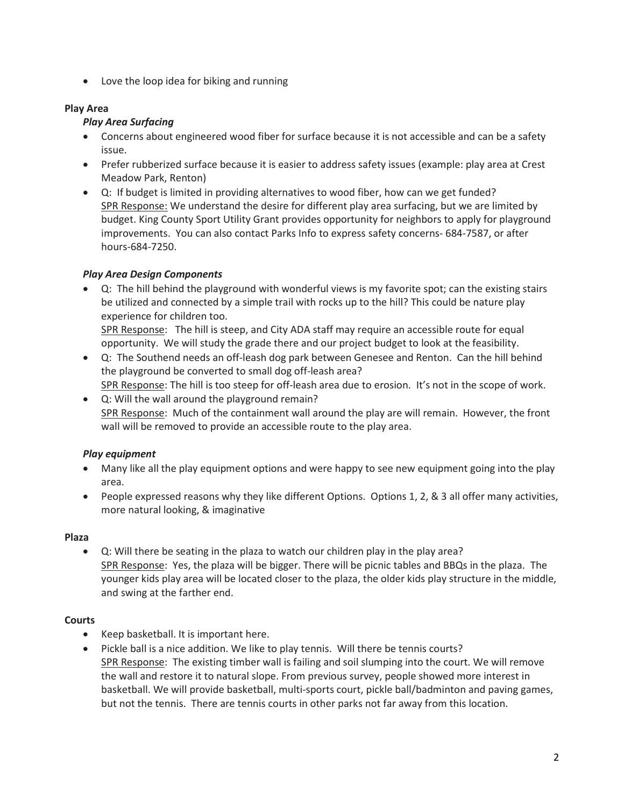• Love the loop idea for biking and running

## **Play Area**

# *Play Area Surfacing*

- Concerns about engineered wood fiber for surface because it is not accessible and can be a safety issue.
- Prefer rubberized surface because it is easier to address safety issues (example: play area at Crest Meadow Park, Renton)
- Q: If budget is limited in providing alternatives to wood fiber, how can we get funded? SPR Response: We understand the desire for different play area surfacing, but we are limited by budget. King County Sport Utility Grant provides opportunity for neighbors to apply for playground improvements. You can also contact Parks Info to express safety concerns- 684-7587, or after hours-684-7250.

# *Play Area Design Components*

- Q: The hill behind the playground with wonderful views is my favorite spot; can the existing stairs be utilized and connected by a simple trail with rocks up to the hill? This could be nature play experience for children too. SPR Response: The hill is steep, and City ADA staff may require an accessible route for equal
	- opportunity. We will study the grade there and our project budget to look at the feasibility.
- Q: The Southend needs an off-leash dog park between Genesee and Renton. Can the hill behind the playground be converted to small dog off-leash area? SPR Response: The hill is too steep for off-leash area due to erosion. It's not in the scope of work.
- Q: Will the wall around the playground remain? SPR Response: Much of the containment wall around the play are will remain. However, the front wall will be removed to provide an accessible route to the play area.

# *Play equipment*

- Many like all the play equipment options and were happy to see new equipment going into the play area.
- People expressed reasons why they like different Options. Options 1, 2, & 3 all offer many activities, more natural looking, & imaginative

## **Plaza**

• Q: Will there be seating in the plaza to watch our children play in the play area? SPR Response: Yes, the plaza will be bigger. There will be picnic tables and BBQs in the plaza. The younger kids play area will be located closer to the plaza, the older kids play structure in the middle, and swing at the farther end.

# **Courts**

- Keep basketball. It is important here.
- Pickle ball is a nice addition. We like to play tennis. Will there be tennis courts? SPR Response: The existing timber wall is failing and soil slumping into the court. We will remove the wall and restore it to natural slope. From previous survey, people showed more interest in basketball. We will provide basketball, multi-sports court, pickle ball/badminton and paving games, but not the tennis. There are tennis courts in other parks not far away from this location.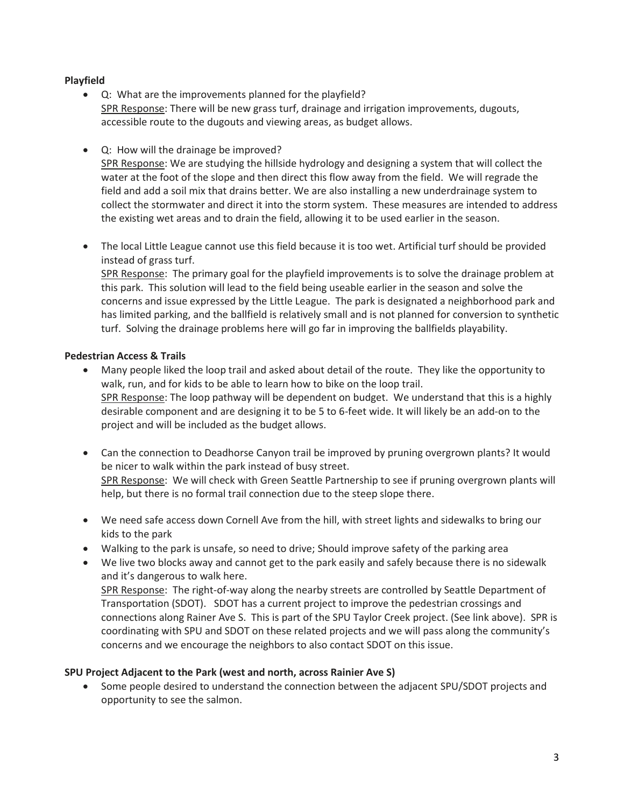## **Playfield**

- Q: What are the improvements planned for the playfield? SPR Response: There will be new grass turf, drainage and irrigation improvements, dugouts, accessible route to the dugouts and viewing areas, as budget allows.
- Q: How will the drainage be improved?

SPR Response: We are studying the hillside hydrology and designing a system that will collect the water at the foot of the slope and then direct this flow away from the field. We will regrade the field and add a soil mix that drains better. We are also installing a new underdrainage system to collect the stormwater and direct it into the storm system. These measures are intended to address the existing wet areas and to drain the field, allowing it to be used earlier in the season.

• The local Little League cannot use this field because it is too wet. Artificial turf should be provided instead of grass turf.

SPR Response: The primary goal for the playfield improvements is to solve the drainage problem at this park. This solution will lead to the field being useable earlier in the season and solve the concerns and issue expressed by the Little League. The park is designated a neighborhood park and has limited parking, and the ballfield is relatively small and is not planned for conversion to synthetic turf. Solving the drainage problems here will go far in improving the ballfields playability.

## **Pedestrian Access & Trails**

- Many people liked the loop trail and asked about detail of the route. They like the opportunity to walk, run, and for kids to be able to learn how to bike on the loop trail. SPR Response: The loop pathway will be dependent on budget. We understand that this is a highly desirable component and are designing it to be 5 to 6-feet wide. It will likely be an add-on to the project and will be included as the budget allows.
- Can the connection to Deadhorse Canyon trail be improved by pruning overgrown plants? It would be nicer to walk within the park instead of busy street. SPR Response: We will check with Green Seattle Partnership to see if pruning overgrown plants will help, but there is no formal trail connection due to the steep slope there.
- We need safe access down Cornell Ave from the hill, with street lights and sidewalks to bring our kids to the park
- Walking to the park is unsafe, so need to drive; Should improve safety of the parking area
- We live two blocks away and cannot get to the park easily and safely because there is no sidewalk and it's dangerous to walk here. SPR Response: The right-of-way along the nearby streets are controlled by Seattle Department of Transportation (SDOT). SDOT has a current project to improve the pedestrian crossings and connections along Rainer Ave S. This is part of the SPU Taylor Creek project. (See link above). SPR is coordinating with SPU and SDOT on these related projects and we will pass along the community's concerns and we encourage the neighbors to also contact SDOT on this issue.

## **SPU Project Adjacent to the Park (west and north, across Rainier Ave S)**

• Some people desired to understand the connection between the adjacent SPU/SDOT projects and opportunity to see the salmon.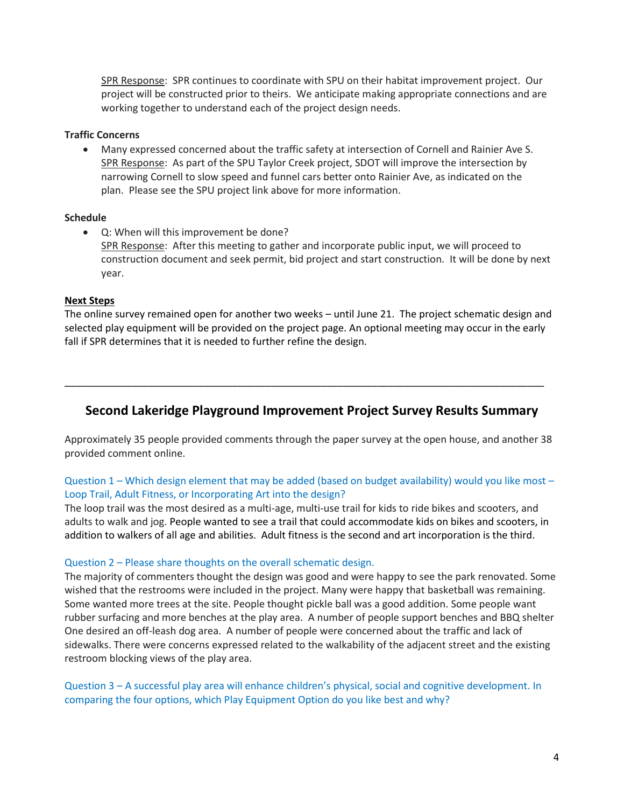SPR Response: SPR continues to coordinate with SPU on their habitat improvement project. Our project will be constructed prior to theirs. We anticipate making appropriate connections and are working together to understand each of the project design needs.

### **Traffic Concerns**

• Many expressed concerned about the traffic safety at intersection of Cornell and Rainier Ave S. SPR Response: As part of the SPU Taylor Creek project, SDOT will improve the intersection by narrowing Cornell to slow speed and funnel cars better onto Rainier Ave, as indicated on the plan. Please see the SPU project link above for more information.

#### **Schedule**

• Q: When will this improvement be done? SPR Response: After this meeting to gather and incorporate public input, we will proceed to construction document and seek permit, bid project and start construction. It will be done by next year.

#### **Next Steps**

The online survey remained open for another two weeks – until June 21. The project schematic design and selected play equipment will be provided on the project page. An optional meeting may occur in the early fall if SPR determines that it is needed to further refine the design.

# **Second Lakeridge Playground Improvement Project Survey Results Summary**

\_\_\_\_\_\_\_\_\_\_\_\_\_\_\_\_\_\_\_\_\_\_\_\_\_\_\_\_\_\_\_\_\_\_\_\_\_\_\_\_\_\_\_\_\_\_\_\_\_\_\_\_\_\_\_\_\_\_\_\_\_\_\_\_\_\_\_\_\_\_\_\_\_\_\_\_\_\_\_\_\_\_\_\_\_\_

Approximately 35 people provided comments through the paper survey at the open house, and another 38 provided comment online.

## Question 1 – Which design element that may be added (based on budget availability) would you like most – Loop Trail, Adult Fitness, or Incorporating Art into the design?

The loop trail was the most desired as a multi-age, multi-use trail for kids to ride bikes and scooters, and adults to walk and jog. People wanted to see a trail that could accommodate kids on bikes and scooters, in addition to walkers of all age and abilities. Adult fitness is the second and art incorporation is the third.

## Question 2 – Please share thoughts on the overall schematic design.

The majority of commenters thought the design was good and were happy to see the park renovated. Some wished that the restrooms were included in the project. Many were happy that basketball was remaining. Some wanted more trees at the site. People thought pickle ball was a good addition. Some people want rubber surfacing and more benches at the play area. A number of people support benches and BBQ shelter One desired an off-leash dog area. A number of people were concerned about the traffic and lack of sidewalks. There were concerns expressed related to the walkability of the adjacent street and the existing restroom blocking views of the play area.

Question 3 – A successful play area will enhance children's physical, social and cognitive development. In comparing the four options, which Play Equipment Option do you like best and why?